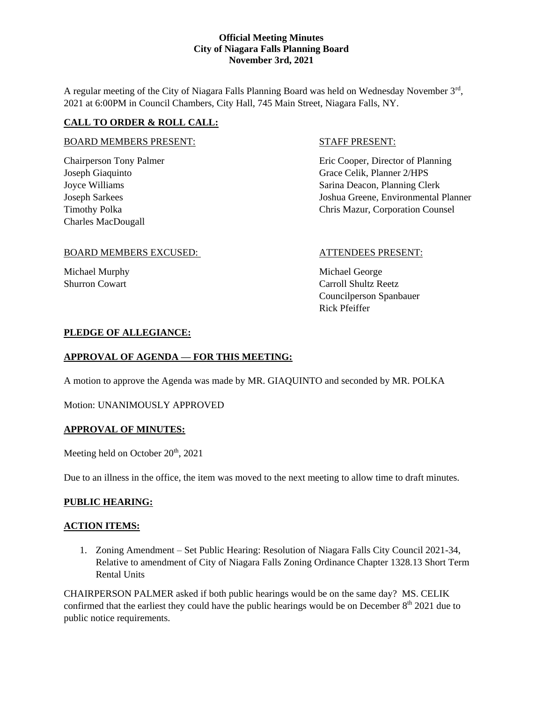A regular meeting of the City of Niagara Falls Planning Board was held on Wednesday November 3<sup>rd</sup>, 2021 at 6:00PM in Council Chambers, City Hall, 745 Main Street, Niagara Falls, NY.

# **CALL TO ORDER & ROLL CALL:**

| <b>BOARD MEMBERS PRESENT:</b>  | <b>STAFF PRESENT:</b>                |
|--------------------------------|--------------------------------------|
| <b>Chairperson Tony Palmer</b> | Eric Cooper, Director of Planning    |
| Joseph Giaquinto               | Grace Celik, Planner 2/HPS           |
| Joyce Williams                 | Sarina Deacon, Planning Clerk        |
| <b>Joseph Sarkees</b>          | Joshua Greene, Environmental Planner |
| <b>Timothy Polka</b>           | Chris Mazur, Corporation Counsel     |
| <b>Charles MacDougall</b>      |                                      |

#### BOARD MEMBERS EXCUSED: ATTENDEES PRESENT:

Michael Murphy **Michael George** 

Shurron Cowart Carroll Shultz Reetz Councilperson Spanbauer Rick Pfeiffer

#### **PLEDGE OF ALLEGIANCE:**

#### **APPROVAL OF AGENDA — FOR THIS MEETING:**

A motion to approve the Agenda was made by MR. GIAQUINTO and seconded by MR. POLKA

#### Motion: UNANIMOUSLY APPROVED

#### **APPROVAL OF MINUTES:**

Meeting held on October  $20<sup>th</sup>$ , 2021

Due to an illness in the office, the item was moved to the next meeting to allow time to draft minutes.

#### **PUBLIC HEARING:**

#### **ACTION ITEMS:**

1. Zoning Amendment – Set Public Hearing: Resolution of Niagara Falls City Council 2021-34, Relative to amendment of City of Niagara Falls Zoning Ordinance Chapter 1328.13 Short Term Rental Units

CHAIRPERSON PALMER asked if both public hearings would be on the same day? MS. CELIK confirmed that the earliest they could have the public hearings would be on December  $8<sup>th</sup> 2021$  due to public notice requirements.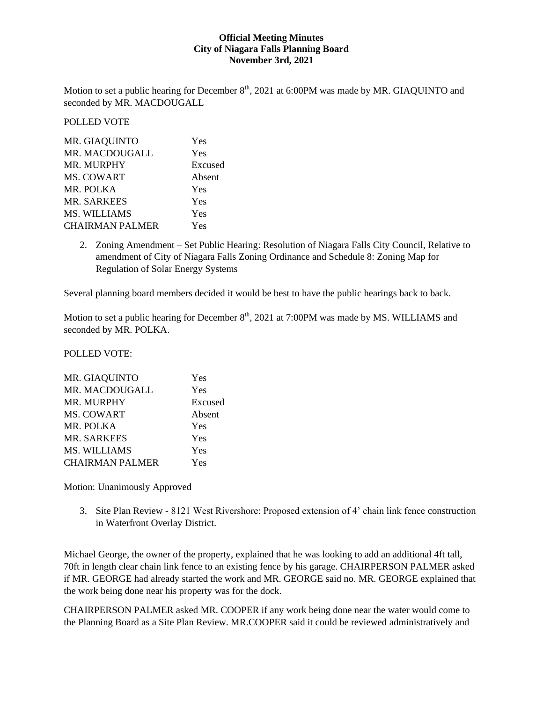Motion to set a public hearing for December  $8<sup>th</sup>$ , 2021 at 6:00PM was made by MR. GIAQUINTO and seconded by MR. MACDOUGALL

#### POLLED VOTE

| Yes     |
|---------|
|         |
| Yes     |
| Excused |
| Absent  |
| Yes     |
| Yes     |
| Yes     |
| Yes     |
|         |

2. Zoning Amendment – Set Public Hearing: Resolution of Niagara Falls City Council, Relative to amendment of City of Niagara Falls Zoning Ordinance and Schedule 8: Zoning Map for Regulation of Solar Energy Systems

Several planning board members decided it would be best to have the public hearings back to back.

Motion to set a public hearing for December  $8<sup>th</sup>$ , 2021 at 7:00PM was made by MS. WILLIAMS and seconded by MR. POLKA.

POLLED VOTE:

| MR. GIAQUINTO          | Yes     |
|------------------------|---------|
| MR. MACDOUGALL         | Yes     |
| <b>MR. MURPHY</b>      | Excused |
| MS. COWART             | Absent  |
| MR. POLKA              | Yes     |
| <b>MR. SARKEES</b>     | Yes     |
| MS. WILLIAMS           | Yes     |
| <b>CHAIRMAN PALMER</b> | Yes     |

Motion: Unanimously Approved

3. Site Plan Review - 8121 West Rivershore: Proposed extension of 4' chain link fence construction in Waterfront Overlay District.

Michael George, the owner of the property, explained that he was looking to add an additional 4ft tall, 70ft in length clear chain link fence to an existing fence by his garage. CHAIRPERSON PALMER asked if MR. GEORGE had already started the work and MR. GEORGE said no. MR. GEORGE explained that the work being done near his property was for the dock.

CHAIRPERSON PALMER asked MR. COOPER if any work being done near the water would come to the Planning Board as a Site Plan Review. MR.COOPER said it could be reviewed administratively and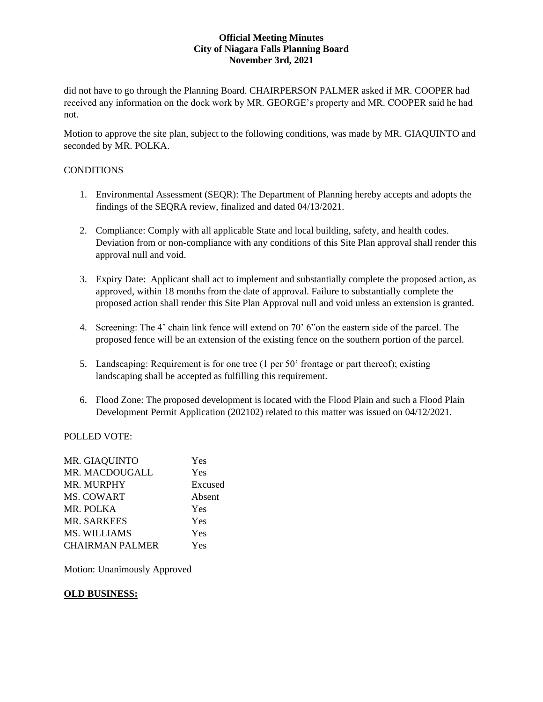did not have to go through the Planning Board. CHAIRPERSON PALMER asked if MR. COOPER had received any information on the dock work by MR. GEORGE's property and MR. COOPER said he had not.

Motion to approve the site plan, subject to the following conditions, was made by MR. GIAQUINTO and seconded by MR. POLKA.

# **CONDITIONS**

- 1. Environmental Assessment (SEQR): The Department of Planning hereby accepts and adopts the findings of the SEQRA review, finalized and dated 04/13/2021.
- 2. Compliance: Comply with all applicable State and local building, safety, and health codes. Deviation from or non-compliance with any conditions of this Site Plan approval shall render this approval null and void.
- 3. Expiry Date: Applicant shall act to implement and substantially complete the proposed action, as approved, within 18 months from the date of approval. Failure to substantially complete the proposed action shall render this Site Plan Approval null and void unless an extension is granted.
- 4. Screening: The 4' chain link fence will extend on 70' 6"on the eastern side of the parcel. The proposed fence will be an extension of the existing fence on the southern portion of the parcel.
- 5. Landscaping: Requirement is for one tree (1 per 50' frontage or part thereof); existing landscaping shall be accepted as fulfilling this requirement.
- 6. Flood Zone: The proposed development is located with the Flood Plain and such a Flood Plain Development Permit Application (202102) related to this matter was issued on 04/12/2021.

POLLED VOTE:

| MR. GIAQUINTO          | Yes     |
|------------------------|---------|
| MR. MACDOUGALL         | Yes     |
| MR. MURPHY             | Excused |
| MS. COWART             | Absent  |
| MR. POLKA              | Yes     |
| MR. SARKEES            | Yes     |
| <b>MS. WILLIAMS</b>    | Yes     |
| <b>CHAIRMAN PALMER</b> | Yes     |

Motion: Unanimously Approved

#### **OLD BUSINESS:**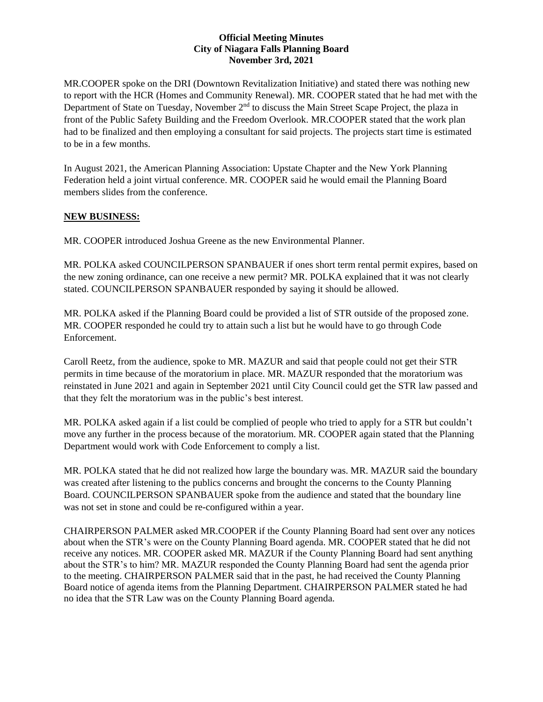MR.COOPER spoke on the DRI (Downtown Revitalization Initiative) and stated there was nothing new to report with the HCR (Homes and Community Renewal). MR. COOPER stated that he had met with the Department of State on Tuesday, November  $2<sup>nd</sup>$  to discuss the Main Street Scape Project, the plaza in front of the Public Safety Building and the Freedom Overlook. MR.COOPER stated that the work plan had to be finalized and then employing a consultant for said projects. The projects start time is estimated to be in a few months.

In August 2021, the American Planning Association: Upstate Chapter and the New York Planning Federation held a joint virtual conference. MR. COOPER said he would email the Planning Board members slides from the conference.

# **NEW BUSINESS:**

MR. COOPER introduced Joshua Greene as the new Environmental Planner.

MR. POLKA asked COUNCILPERSON SPANBAUER if ones short term rental permit expires, based on the new zoning ordinance, can one receive a new permit? MR. POLKA explained that it was not clearly stated. COUNCILPERSON SPANBAUER responded by saying it should be allowed.

MR. POLKA asked if the Planning Board could be provided a list of STR outside of the proposed zone. MR. COOPER responded he could try to attain such a list but he would have to go through Code Enforcement.

Caroll Reetz, from the audience, spoke to MR. MAZUR and said that people could not get their STR permits in time because of the moratorium in place. MR. MAZUR responded that the moratorium was reinstated in June 2021 and again in September 2021 until City Council could get the STR law passed and that they felt the moratorium was in the public's best interest.

MR. POLKA asked again if a list could be complied of people who tried to apply for a STR but couldn't move any further in the process because of the moratorium. MR. COOPER again stated that the Planning Department would work with Code Enforcement to comply a list.

MR. POLKA stated that he did not realized how large the boundary was. MR. MAZUR said the boundary was created after listening to the publics concerns and brought the concerns to the County Planning Board. COUNCILPERSON SPANBAUER spoke from the audience and stated that the boundary line was not set in stone and could be re-configured within a year.

CHAIRPERSON PALMER asked MR.COOPER if the County Planning Board had sent over any notices about when the STR's were on the County Planning Board agenda. MR. COOPER stated that he did not receive any notices. MR. COOPER asked MR. MAZUR if the County Planning Board had sent anything about the STR's to him? MR. MAZUR responded the County Planning Board had sent the agenda prior to the meeting. CHAIRPERSON PALMER said that in the past, he had received the County Planning Board notice of agenda items from the Planning Department. CHAIRPERSON PALMER stated he had no idea that the STR Law was on the County Planning Board agenda.